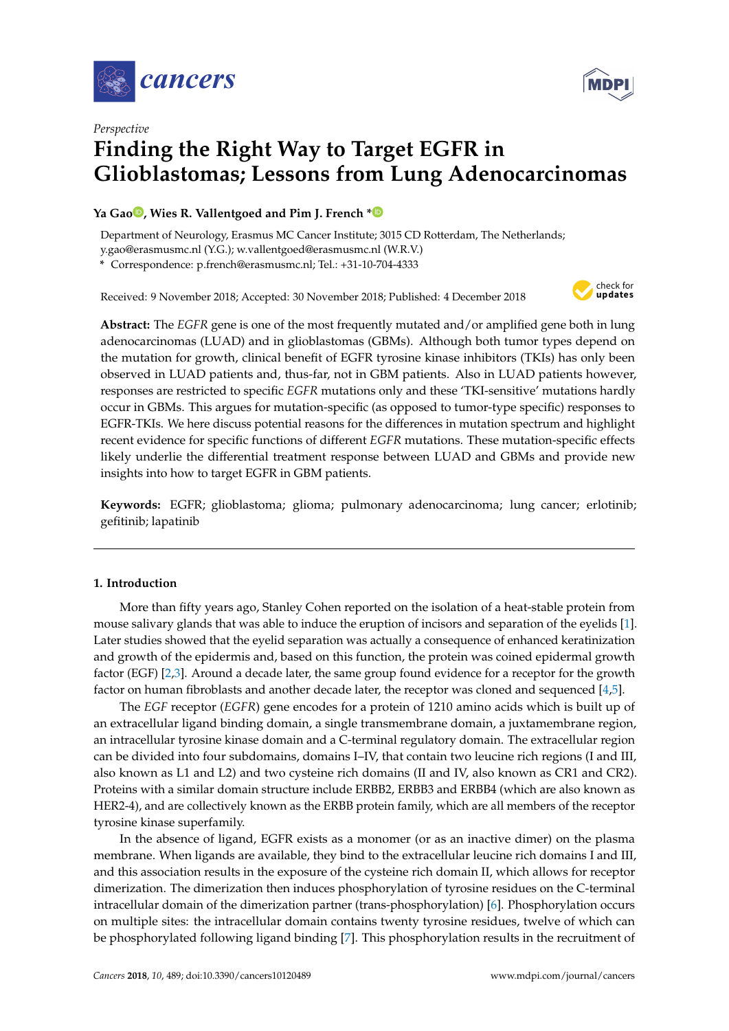



# *Perspective* **Finding the Right Way to Target EGFR in Glioblastomas; Lessons from Lung Adenocarcinomas**

# **Ya Ga[o](https://orcid.org/0000-0001-8087-1364) , Wies R. Vallentgoed and Pim J. French [\\*](https://orcid.org/0000-0002-0668-9529)**

Department of Neurology, Erasmus MC Cancer Institute; 3015 CD Rotterdam, The Netherlands; y.gao@erasmusmc.nl (Y.G.); w.vallentgoed@erasmusmc.nl (W.R.V.)

**\*** Correspondence: p.french@erasmusmc.nl; Tel.: +31-10-704-4333

Received: 9 November 2018; Accepted: 30 November 2018; Published: 4 December 2018



**Abstract:** The *EGFR* gene is one of the most frequently mutated and/or amplified gene both in lung adenocarcinomas (LUAD) and in glioblastomas (GBMs). Although both tumor types depend on the mutation for growth, clinical benefit of EGFR tyrosine kinase inhibitors (TKIs) has only been observed in LUAD patients and, thus-far, not in GBM patients. Also in LUAD patients however, responses are restricted to specific *EGFR* mutations only and these 'TKI-sensitive' mutations hardly occur in GBMs. This argues for mutation-specific (as opposed to tumor-type specific) responses to EGFR-TKIs. We here discuss potential reasons for the differences in mutation spectrum and highlight recent evidence for specific functions of different *EGFR* mutations. These mutation-specific effects likely underlie the differential treatment response between LUAD and GBMs and provide new insights into how to target EGFR in GBM patients.

**Keywords:** EGFR; glioblastoma; glioma; pulmonary adenocarcinoma; lung cancer; erlotinib; gefitinib; lapatinib

## **1. Introduction**

More than fifty years ago, Stanley Cohen reported on the isolation of a heat-stable protein from mouse salivary glands that was able to induce the eruption of incisors and separation of the eyelids [\[1\]](#page-5-0). Later studies showed that the eyelid separation was actually a consequence of enhanced keratinization and growth of the epidermis and, based on this function, the protein was coined epidermal growth factor (EGF) [\[2](#page-5-1)[,3\]](#page-5-2). Around a decade later, the same group found evidence for a receptor for the growth factor on human fibroblasts and another decade later, the receptor was cloned and sequenced [\[4](#page-5-3)[,5\]](#page-5-4).

The *EGF* receptor (*EGFR*) gene encodes for a protein of 1210 amino acids which is built up of an extracellular ligand binding domain, a single transmembrane domain, a juxtamembrane region, an intracellular tyrosine kinase domain and a C-terminal regulatory domain. The extracellular region can be divided into four subdomains, domains I–IV, that contain two leucine rich regions (I and III, also known as L1 and L2) and two cysteine rich domains (II and IV, also known as CR1 and CR2). Proteins with a similar domain structure include ERBB2, ERBB3 and ERBB4 (which are also known as HER2-4), and are collectively known as the ERBB protein family, which are all members of the receptor tyrosine kinase superfamily.

In the absence of ligand, EGFR exists as a monomer (or as an inactive dimer) on the plasma membrane. When ligands are available, they bind to the extracellular leucine rich domains I and III, and this association results in the exposure of the cysteine rich domain II, which allows for receptor dimerization. The dimerization then induces phosphorylation of tyrosine residues on the C-terminal intracellular domain of the dimerization partner (trans-phosphorylation) [\[6\]](#page-5-5). Phosphorylation occurs on multiple sites: the intracellular domain contains twenty tyrosine residues, twelve of which can be phosphorylated following ligand binding [\[7\]](#page-5-6). This phosphorylation results in the recruitment of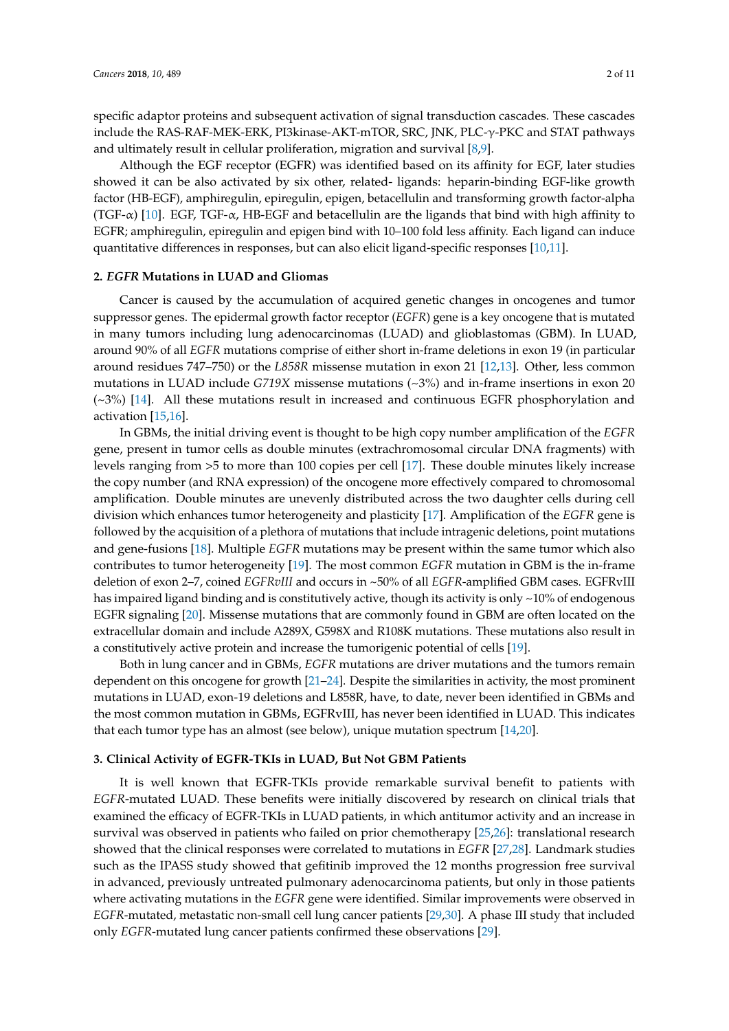specific adaptor proteins and subsequent activation of signal transduction cascades. These cascades include the RAS-RAF-MEK-ERK, PI3kinase-AKT-mTOR, SRC, JNK, PLC-γ-PKC and STAT pathways and ultimately result in cellular proliferation, migration and survival [\[8](#page-5-7)[,9\]](#page-5-8).

Although the EGF receptor (EGFR) was identified based on its affinity for EGF, later studies showed it can be also activated by six other, related- ligands: heparin-binding EGF-like growth factor (HB-EGF), amphiregulin, epiregulin, epigen, betacellulin and transforming growth factor-alpha (TGF- $\alpha$ ) [\[10\]](#page-5-9). EGF, TGF- $\alpha$ , HB-EGF and betacellulin are the ligands that bind with high affinity to EGFR; amphiregulin, epiregulin and epigen bind with 10–100 fold less affinity. Each ligand can induce quantitative differences in responses, but can also elicit ligand-specific responses [\[10,](#page-5-9)[11\]](#page-6-0).

### **2.** *EGFR* **Mutations in LUAD and Gliomas**

Cancer is caused by the accumulation of acquired genetic changes in oncogenes and tumor suppressor genes. The epidermal growth factor receptor (*EGFR*) gene is a key oncogene that is mutated in many tumors including lung adenocarcinomas (LUAD) and glioblastomas (GBM). In LUAD, around 90% of all *EGFR* mutations comprise of either short in-frame deletions in exon 19 (in particular around residues 747–750) or the *L858R* missense mutation in exon 21 [\[12](#page-6-1)[,13\]](#page-6-2). Other, less common mutations in LUAD include *G719X* missense mutations (~3%) and in-frame insertions in exon 20 (~3%) [\[14\]](#page-6-3). All these mutations result in increased and continuous EGFR phosphorylation and activation [\[15](#page-6-4)[,16\]](#page-6-5).

In GBMs, the initial driving event is thought to be high copy number amplification of the *EGFR* gene, present in tumor cells as double minutes (extrachromosomal circular DNA fragments) with levels ranging from >5 to more than 100 copies per cell [\[17\]](#page-6-6). These double minutes likely increase the copy number (and RNA expression) of the oncogene more effectively compared to chromosomal amplification. Double minutes are unevenly distributed across the two daughter cells during cell division which enhances tumor heterogeneity and plasticity [\[17\]](#page-6-6). Amplification of the *EGFR* gene is followed by the acquisition of a plethora of mutations that include intragenic deletions, point mutations and gene-fusions [\[18\]](#page-6-7). Multiple *EGFR* mutations may be present within the same tumor which also contributes to tumor heterogeneity [\[19\]](#page-6-8). The most common *EGFR* mutation in GBM is the in-frame deletion of exon 2–7, coined *EGFRvIII* and occurs in ~50% of all *EGFR*-amplified GBM cases. EGFRvIII has impaired ligand binding and is constitutively active, though its activity is only ~10% of endogenous EGFR signaling [\[20\]](#page-6-9). Missense mutations that are commonly found in GBM are often located on the extracellular domain and include A289X, G598X and R108K mutations. These mutations also result in a constitutively active protein and increase the tumorigenic potential of cells [\[19\]](#page-6-8).

Both in lung cancer and in GBMs, *EGFR* mutations are driver mutations and the tumors remain dependent on this oncogene for growth [\[21](#page-6-10)[–24\]](#page-6-11). Despite the similarities in activity, the most prominent mutations in LUAD, exon-19 deletions and L858R, have, to date, never been identified in GBMs and the most common mutation in GBMs, EGFRvIII, has never been identified in LUAD. This indicates that each tumor type has an almost (see below), unique mutation spectrum [\[14](#page-6-3)[,20\]](#page-6-9).

## **3. Clinical Activity of EGFR-TKIs in LUAD, But Not GBM Patients**

It is well known that EGFR-TKIs provide remarkable survival benefit to patients with *EGFR*-mutated LUAD. These benefits were initially discovered by research on clinical trials that examined the efficacy of EGFR-TKIs in LUAD patients, in which antitumor activity and an increase in survival was observed in patients who failed on prior chemotherapy [\[25](#page-6-12)[,26\]](#page-6-13): translational research showed that the clinical responses were correlated to mutations in *EGFR* [\[27](#page-6-14)[,28\]](#page-6-15). Landmark studies such as the IPASS study showed that gefitinib improved the 12 months progression free survival in advanced, previously untreated pulmonary adenocarcinoma patients, but only in those patients where activating mutations in the *EGFR* gene were identified. Similar improvements were observed in *EGFR*-mutated, metastatic non-small cell lung cancer patients [\[29](#page-7-0)[,30\]](#page-7-1). A phase III study that included only *EGFR*-mutated lung cancer patients confirmed these observations [\[29\]](#page-7-0).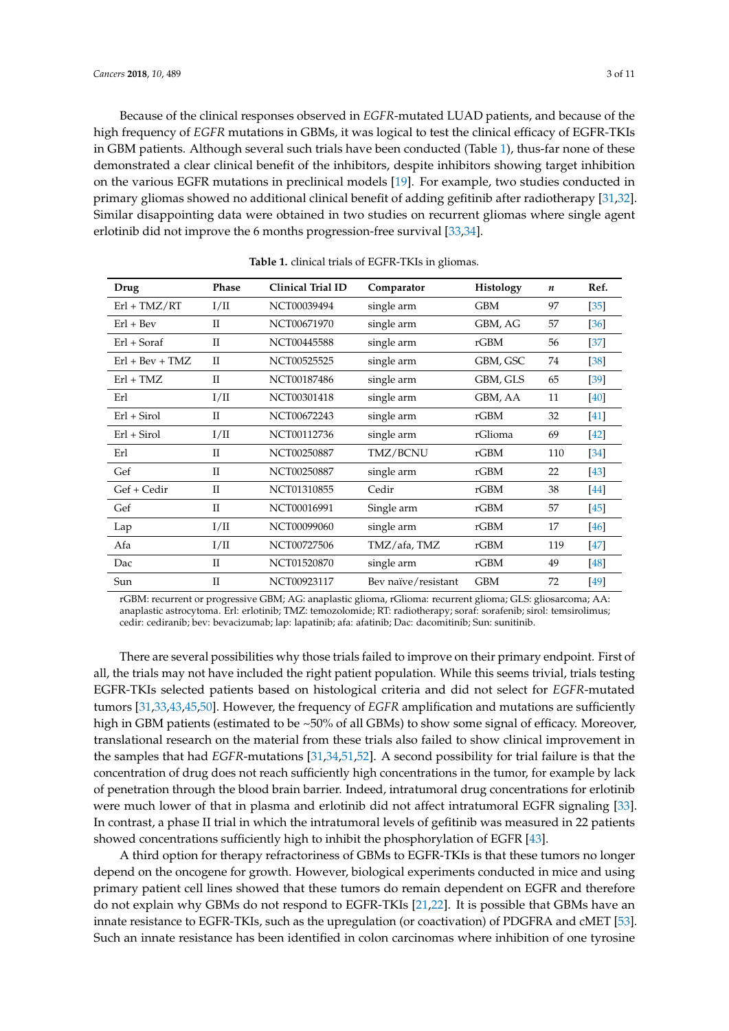Because of the clinical responses observed in *EGFR*-mutated LUAD patients, and because of the high frequency of *EGFR* mutations in GBMs, it was logical to test the clinical efficacy of EGFR-TKIs in GBM patients. Although several such trials have been conducted (Table [1\)](#page-2-0), thus-far none of these demonstrated a clear clinical benefit of the inhibitors, despite inhibitors showing target inhibition on the various EGFR mutations in preclinical models [\[19\]](#page-6-8). For example, two studies conducted in primary gliomas showed no additional clinical benefit of adding gefitinib after radiotherapy [\[31,](#page-7-2)[32\]](#page-7-3). Similar disappointing data were obtained in two studies on recurrent gliomas where single agent erlotinib did not improve the 6 months progression-free survival [\[33,](#page-7-4)[34\]](#page-7-5).

<span id="page-2-0"></span>

| Drug              | Phase        | <b>Clinical Trial ID</b> | Comparator          | Histology  | $\boldsymbol{n}$ | Ref.   |
|-------------------|--------------|--------------------------|---------------------|------------|------------------|--------|
| $Erl + TMZ/RT$    | I/II         | NCT00039494              | single arm          | <b>GBM</b> | 97               | $[35]$ |
| $Erl + Bev$       | $_{\rm II}$  | NCT00671970              | single arm          | GBM, AG    | 57               | [36]   |
| $Erl + Soraf$     | $\rm II$     | NCT00445588              | single arm          | rGBM       | 56               | $[37]$ |
| $Erl + Bev + TMZ$ | $\mathbf{I}$ | NCT00525525              | single arm          | GBM, GSC   | 74               | [38]   |
| $Erl + TMZ$       | $\mathbf{I}$ | NCT00187486              | single arm          | GBM, GLS   | 65               | [39]   |
| Erl               | I/II         | NCT00301418              | single arm          | GBM, AA    | 11               | [40]   |
| Erl + Sirol       | $_{\rm II}$  | NCT00672243              | single arm          | rGBM       | 32               | [41]   |
| $Erl + Sirol$     | I/II         | NCT00112736              | single arm          | rGlioma    | 69               | $[42]$ |
| Erl               | $\mathbf{I}$ | NCT00250887              | TMZ/BCNU            | rGBM       | 110              | [34]   |
| Gef               | $\Pi$        | NCT00250887              | single arm          | rGBM       | 22               | [43]   |
| Gef + Cedir       | $\mathbf{I}$ | NCT01310855              | Cedir               | rGBM       | 38               | [44]   |
| Gef               | $_{\rm II}$  | NCT00016991              | Single arm          | rGBM       | 57               | $[45]$ |
| Lap               | I/II         | NCT00099060              | single arm          | rGBM       | 17               | $[46]$ |
| Afa               | I/II         | NCT00727506              | TMZ/afa, TMZ        | rGBM       | 119              | $[47]$ |
| Dac               | $\mathbf{I}$ | NCT01520870              | single arm          | rGBM       | 49               | [48]   |
| Sun               | $_{\rm II}$  | NCT00923117              | Bev naïve/resistant | <b>GBM</b> | 72               | [49]   |

**Table 1.** clinical trials of EGFR-TKIs in gliomas.

rGBM: recurrent or progressive GBM; AG: anaplastic glioma, rGlioma: recurrent glioma; GLS: gliosarcoma; AA: anaplastic astrocytoma. Erl: erlotinib; TMZ: temozolomide; RT: radiotherapy; soraf: sorafenib; sirol: temsirolimus; cedir: cediranib; bev: bevacizumab; lap: lapatinib; afa: afatinib; Dac: dacomitinib; Sun: sunitinib.

There are several possibilities why those trials failed to improve on their primary endpoint. First of all, the trials may not have included the right patient population. While this seems trivial, trials testing EGFR-TKIs selected patients based on histological criteria and did not select for *EGFR*-mutated tumors [\[31,](#page-7-2)[33,](#page-7-4)[43,](#page-7-14)[45](#page-8-1)[,50\]](#page-8-6). However, the frequency of *EGFR* amplification and mutations are sufficiently high in GBM patients (estimated to be ~50% of all GBMs) to show some signal of efficacy. Moreover, translational research on the material from these trials also failed to show clinical improvement in the samples that had *EGFR*-mutations [\[31,](#page-7-2)[34,](#page-7-5)[51,](#page-8-7)[52\]](#page-8-8). A second possibility for trial failure is that the concentration of drug does not reach sufficiently high concentrations in the tumor, for example by lack of penetration through the blood brain barrier. Indeed, intratumoral drug concentrations for erlotinib were much lower of that in plasma and erlotinib did not affect intratumoral EGFR signaling [\[33\]](#page-7-4). In contrast, a phase II trial in which the intratumoral levels of gefitinib was measured in 22 patients showed concentrations sufficiently high to inhibit the phosphorylation of EGFR [\[43\]](#page-7-14).

A third option for therapy refractoriness of GBMs to EGFR-TKIs is that these tumors no longer depend on the oncogene for growth. However, biological experiments conducted in mice and using primary patient cell lines showed that these tumors do remain dependent on EGFR and therefore do not explain why GBMs do not respond to EGFR-TKIs [\[21](#page-6-10)[,22\]](#page-6-16). It is possible that GBMs have an innate resistance to EGFR-TKIs, such as the upregulation (or coactivation) of PDGFRA and cMET [\[53\]](#page-8-9). Such an innate resistance has been identified in colon carcinomas where inhibition of one tyrosine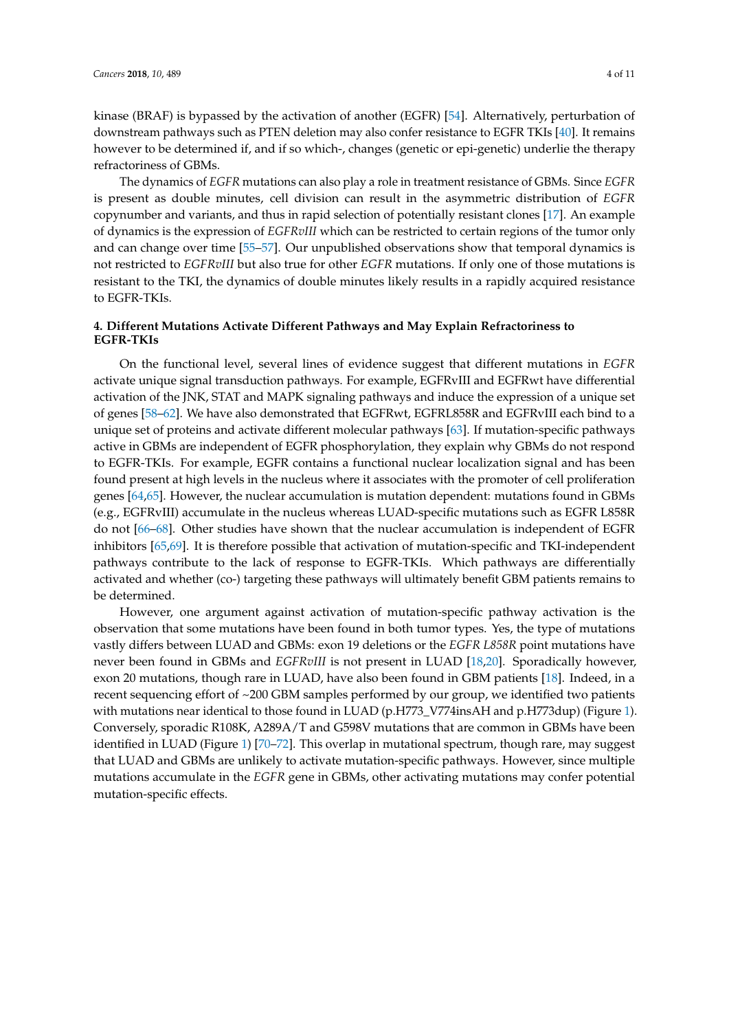kinase (BRAF) is bypassed by the activation of another (EGFR) [\[54\]](#page-8-10). Alternatively, perturbation of downstream pathways such as PTEN deletion may also confer resistance to EGFR TKIs [\[40\]](#page-7-11). It remains however to be determined if, and if so which-, changes (genetic or epi-genetic) underlie the therapy refractoriness of GBMs.

The dynamics of *EGFR* mutations can also play a role in treatment resistance of GBMs. Since *EGFR* is present as double minutes, cell division can result in the asymmetric distribution of *EGFR* copynumber and variants, and thus in rapid selection of potentially resistant clones [\[17\]](#page-6-6). An example of dynamics is the expression of *EGFRvIII* which can be restricted to certain regions of the tumor only and can change over time [\[55–](#page-8-11)[57\]](#page-8-12). Our unpublished observations show that temporal dynamics is not restricted to *EGFRvIII* but also true for other *EGFR* mutations. If only one of those mutations is resistant to the TKI, the dynamics of double minutes likely results in a rapidly acquired resistance to EGFR-TKIs.

# **4. Different Mutations Activate Different Pathways and May Explain Refractoriness to EGFR-TKIs**

On the functional level, several lines of evidence suggest that different mutations in *EGFR* activate unique signal transduction pathways. For example, EGFRvIII and EGFRwt have differential activation of the JNK, STAT and MAPK signaling pathways and induce the expression of a unique set of genes [\[58–](#page-8-13)[62\]](#page-9-0). We have also demonstrated that EGFRwt, EGFRL858R and EGFRvIII each bind to a unique set of proteins and activate different molecular pathways [\[63\]](#page-9-1). If mutation-specific pathways active in GBMs are independent of EGFR phosphorylation, they explain why GBMs do not respond to EGFR-TKIs. For example, EGFR contains a functional nuclear localization signal and has been found present at high levels in the nucleus where it associates with the promoter of cell proliferation genes [\[64](#page-9-2)[,65\]](#page-9-3). However, the nuclear accumulation is mutation dependent: mutations found in GBMs (e.g., EGFRvIII) accumulate in the nucleus whereas LUAD-specific mutations such as EGFR L858R do not [\[66–](#page-9-4)[68\]](#page-9-5). Other studies have shown that the nuclear accumulation is independent of EGFR inhibitors [\[65,](#page-9-3)[69\]](#page-9-6). It is therefore possible that activation of mutation-specific and TKI-independent pathways contribute to the lack of response to EGFR-TKIs. Which pathways are differentially activated and whether (co-) targeting these pathways will ultimately benefit GBM patients remains to be determined.

However, one argument against activation of mutation-specific pathway activation is the observation that some mutations have been found in both tumor types. Yes, the type of mutations vastly differs between LUAD and GBMs: exon 19 deletions or the *EGFR L858R* point mutations have never been found in GBMs and *EGFRvIII* is not present in LUAD [\[18,](#page-6-7)[20\]](#page-6-9). Sporadically however, exon 20 mutations, though rare in LUAD, have also been found in GBM patients [\[18\]](#page-6-7). Indeed, in a recent sequencing effort of ~200 GBM samples performed by our group, we identified two patients with mutations near identical to those found in LUAD (p.H773\_V774insAH and p.H773dup) (Figure [1\)](#page-4-0). Conversely, sporadic R108K, A289A/T and G598V mutations that are common in GBMs have been identified in LUAD (Figure [1\)](#page-4-0) [\[70](#page-9-7)[–72\]](#page-9-8). This overlap in mutational spectrum, though rare, may suggest that LUAD and GBMs are unlikely to activate mutation-specific pathways. However, since multiple mutations accumulate in the *EGFR* gene in GBMs, other activating mutations may confer potential mutation-specific effects.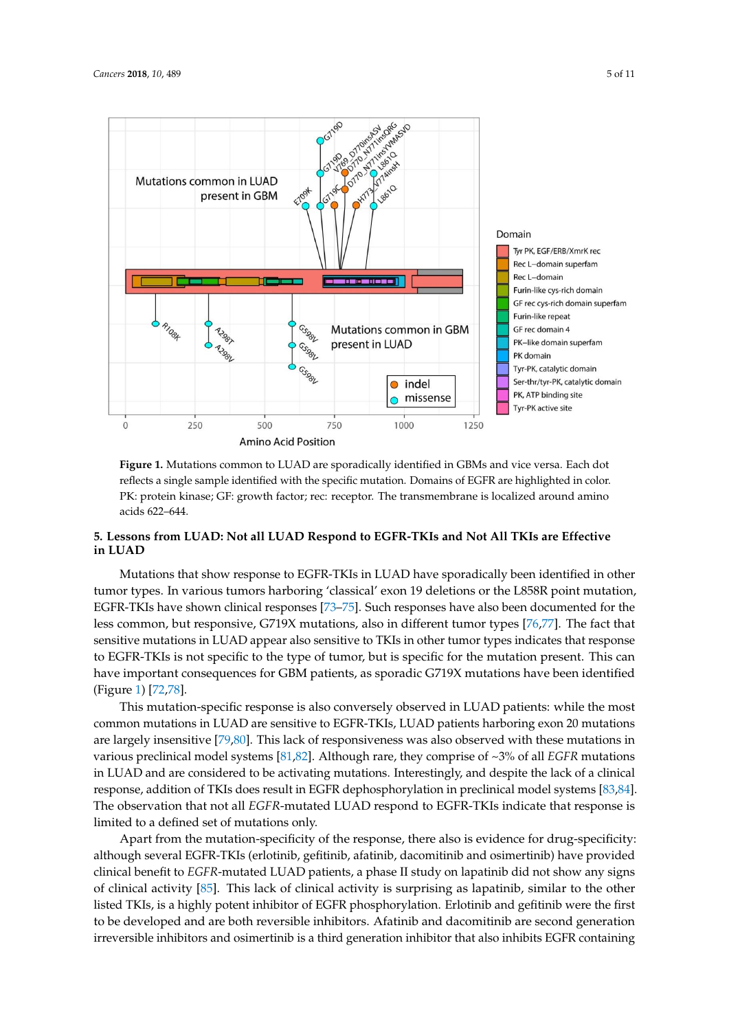<span id="page-4-0"></span>

**Figure 1.** Mutations common to LUAD are sporadically identified in GBMs and vice versa. Each dot **Figure 1.** Mutations common to LUAD are sporadically identified in GBMs and vice versa. Each dot reflects a single sample identified with the specific mutation. Domains of EGFR are highlighted in reflects a single sample identified with the specific mutation. Domains of EGFR are highlighted in color. PK: protein kinase; GF: growth factor; rec: receptor. The transmembrane is localized around amino amino acids 622–644. acids 622–644.

#### 5. Lessons from LUAD: Not all LUAD Respond to EGFR-TKIs and Not All TKIs are Effective<br>**in LUAD** although several EGFR-TKIs (erlotinib, gefitinib, gefitinib, afatinib, dacomitinib, dacomitinib, dacomitinib, **in LUAD**

Mutations that show response to EGFR-TKIs in LUAD have sporadically been identified in other tumor types. In various tumors harboring 'classical' exon 19 deletions or the L858R point mutation, EGFR-TKIs have shown clinical responses [\[73–](#page-9-9)[75\]](#page-9-10). Such responses have also been documented for the less common, but responsive, G719X mutations, also in different tumor types [\[76,](#page-9-11)[77\]](#page-9-12). The fact that sensitive mutations in LUAD appear also sensitive to TKIs in other tumor types indicates that response to EGFR-TKIs is not specific to the type of tumor, but is specific for the mutation present. This can have important consequences for GBM patients, as sporadic G719X mutations have been identified  $(Figure 1)$  [\[72,](#page-9-8)[78\]](#page-9-13).

This mutation-specific response is also conversely observed in LUAD patients: while the most common mutations in LUAD are sensitive to EGFR-TKIs, LUAD patients harboring exon 20 mutations are largely insensitive [\[79](#page-10-0)[,80\]](#page-10-1). This lack of responsiveness was also observed with these mutations in various preclinical model systems [\[81](#page-10-2)[,82\]](#page-10-3). Although rare, they comprise of ~3% of all *EGFR* mutations in LUAD and are considered to be activating mutations. Interestingly, and despite the lack of a clinical response, addition of TKIs does result in EGFR dephosphorylation in preclinical model systems [\[83](#page-10-4)[,84\]](#page-10-5). The observation that not all *EGFR*-mutated LUAD respond to EGFR-TKIs indicate that response is limited to a defined set of mutations only.  $\blacksquare$ 

Apart from the mutation-specificity of the response, there also is evidence for drug-specificity: although several EGFR-TKIs (erlotinib, gefitinib, afatinib, dacomitinib and osimertinib) have provided clinical benefit to *EGFR*-mutated LUAD patients, a phase II study on lapatinib did not show any signs of clinical activity [\[85\]](#page-10-6). This lack of clinical activity is surprising as lapatinib, similar to the other listed TKIs, is a highly potent inhibitor of EGFR phosphorylation. Erlotinib and gefitinib were the first to be developed and are both reversible inhibitors. Afatinib and dacomitinib are second generation irreversible inhibitors and osimertinib is a third generation inhibitor that also inhibits EGFR containing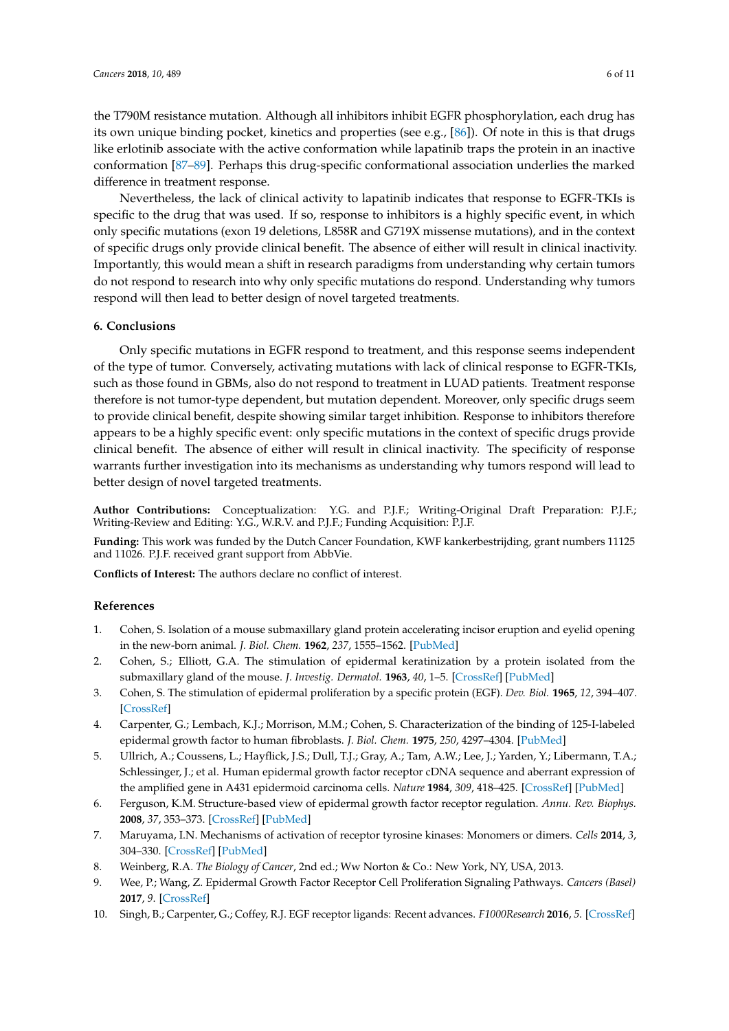the T790M resistance mutation. Although all inhibitors inhibit EGFR phosphorylation, each drug has its own unique binding pocket, kinetics and properties (see e.g., [\[86\]](#page-10-7)). Of note in this is that drugs like erlotinib associate with the active conformation while lapatinib traps the protein in an inactive conformation [\[87](#page-10-8)[–89\]](#page-10-9). Perhaps this drug-specific conformational association underlies the marked difference in treatment response.

Nevertheless, the lack of clinical activity to lapatinib indicates that response to EGFR-TKIs is specific to the drug that was used. If so, response to inhibitors is a highly specific event, in which only specific mutations (exon 19 deletions, L858R and G719X missense mutations), and in the context of specific drugs only provide clinical benefit. The absence of either will result in clinical inactivity. Importantly, this would mean a shift in research paradigms from understanding why certain tumors do not respond to research into why only specific mutations do respond. Understanding why tumors respond will then lead to better design of novel targeted treatments.

#### **6. Conclusions**

Only specific mutations in EGFR respond to treatment, and this response seems independent of the type of tumor. Conversely, activating mutations with lack of clinical response to EGFR-TKIs, such as those found in GBMs, also do not respond to treatment in LUAD patients. Treatment response therefore is not tumor-type dependent, but mutation dependent. Moreover, only specific drugs seem to provide clinical benefit, despite showing similar target inhibition. Response to inhibitors therefore appears to be a highly specific event: only specific mutations in the context of specific drugs provide clinical benefit. The absence of either will result in clinical inactivity. The specificity of response warrants further investigation into its mechanisms as understanding why tumors respond will lead to better design of novel targeted treatments.

**Author Contributions:** Conceptualization: Y.G. and P.J.F.; Writing-Original Draft Preparation: P.J.F.; Writing-Review and Editing: Y.G., W.R.V. and P.J.F.; Funding Acquisition: P.J.F.

**Funding:** This work was funded by the Dutch Cancer Foundation, KWF kankerbestrijding, grant numbers 11125 and 11026. P.J.F. received grant support from AbbVie.

**Conflicts of Interest:** The authors declare no conflict of interest.

### **References**

- <span id="page-5-0"></span>1. Cohen, S. Isolation of a mouse submaxillary gland protein accelerating incisor eruption and eyelid opening in the new-born animal. *J. Biol. Chem.* **1962**, *237*, 1555–1562. [\[PubMed\]](http://www.ncbi.nlm.nih.gov/pubmed/13880319)
- <span id="page-5-1"></span>2. Cohen, S.; Elliott, G.A. The stimulation of epidermal keratinization by a protein isolated from the submaxillary gland of the mouse. *J. Investig. Dermatol.* **1963**, *40*, 1–5. [\[CrossRef\]](http://dx.doi.org/10.1038/jid.1963.1) [\[PubMed\]](http://www.ncbi.nlm.nih.gov/pubmed/14022091)
- <span id="page-5-2"></span>3. Cohen, S. The stimulation of epidermal proliferation by a specific protein (EGF). *Dev. Biol.* **1965**, *12*, 394–407. [\[CrossRef\]](http://dx.doi.org/10.1016/0012-1606(65)90005-9)
- <span id="page-5-3"></span>4. Carpenter, G.; Lembach, K.J.; Morrison, M.M.; Cohen, S. Characterization of the binding of 125-I-labeled epidermal growth factor to human fibroblasts. *J. Biol. Chem.* **1975**, *250*, 4297–4304. [\[PubMed\]](http://www.ncbi.nlm.nih.gov/pubmed/1126952)
- <span id="page-5-4"></span>5. Ullrich, A.; Coussens, L.; Hayflick, J.S.; Dull, T.J.; Gray, A.; Tam, A.W.; Lee, J.; Yarden, Y.; Libermann, T.A.; Schlessinger, J.; et al. Human epidermal growth factor receptor cDNA sequence and aberrant expression of the amplified gene in A431 epidermoid carcinoma cells. *Nature* **1984**, *309*, 418–425. [\[CrossRef\]](http://dx.doi.org/10.1038/309418a0) [\[PubMed\]](http://www.ncbi.nlm.nih.gov/pubmed/6328312)
- <span id="page-5-5"></span>6. Ferguson, K.M. Structure-based view of epidermal growth factor receptor regulation. *Annu. Rev. Biophys.* **2008**, *37*, 353–373. [\[CrossRef\]](http://dx.doi.org/10.1146/annurev.biophys.37.032807.125829) [\[PubMed\]](http://www.ncbi.nlm.nih.gov/pubmed/18573086)
- <span id="page-5-6"></span>7. Maruyama, I.N. Mechanisms of activation of receptor tyrosine kinases: Monomers or dimers. *Cells* **2014**, *3*, 304–330. [\[CrossRef\]](http://dx.doi.org/10.3390/cells3020304) [\[PubMed\]](http://www.ncbi.nlm.nih.gov/pubmed/24758840)
- <span id="page-5-7"></span>8. Weinberg, R.A. *The Biology of Cancer*, 2nd ed.; Ww Norton & Co.: New York, NY, USA, 2013.
- <span id="page-5-8"></span>9. Wee, P.; Wang, Z. Epidermal Growth Factor Receptor Cell Proliferation Signaling Pathways. *Cancers (Basel)* **2017**, *9*. [\[CrossRef\]](http://dx.doi.org/10.3390/cancers9050052)
- <span id="page-5-9"></span>10. Singh, B.; Carpenter, G.; Coffey, R.J. EGF receptor ligands: Recent advances. *F1000Research* **2016**, *5*. [\[CrossRef\]](http://dx.doi.org/10.12688/f1000research.9025.1)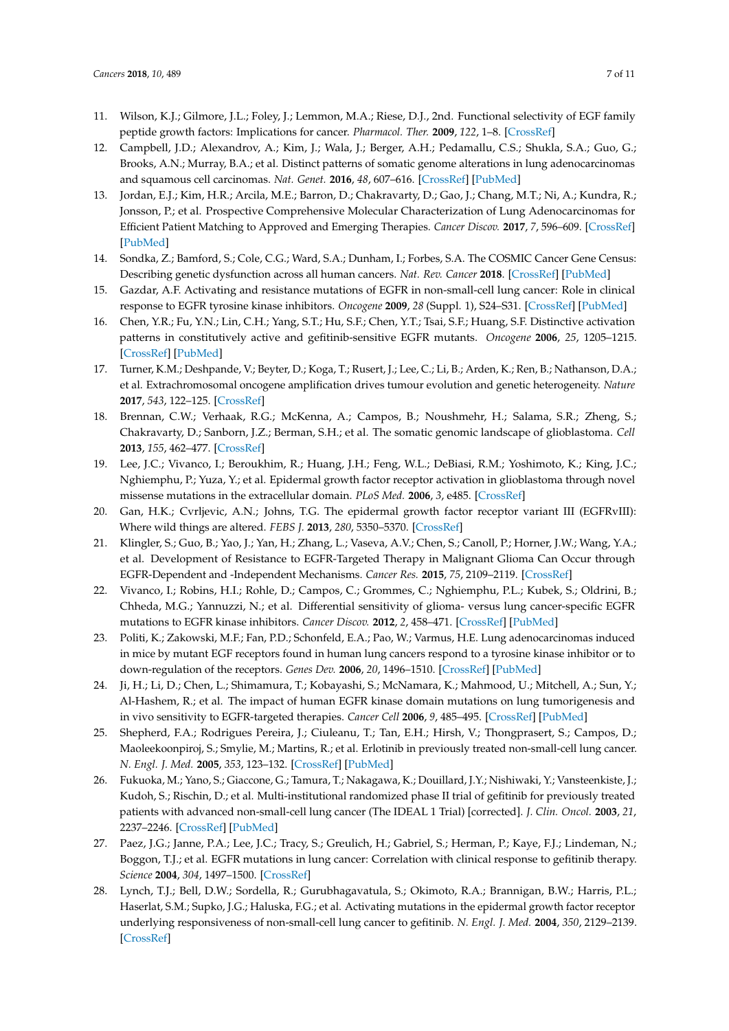- <span id="page-6-0"></span>11. Wilson, K.J.; Gilmore, J.L.; Foley, J.; Lemmon, M.A.; Riese, D.J., 2nd. Functional selectivity of EGF family peptide growth factors: Implications for cancer. *Pharmacol. Ther.* **2009**, *122*, 1–8. [\[CrossRef\]](http://dx.doi.org/10.1016/j.pharmthera.2008.11.008)
- <span id="page-6-1"></span>12. Campbell, J.D.; Alexandrov, A.; Kim, J.; Wala, J.; Berger, A.H.; Pedamallu, C.S.; Shukla, S.A.; Guo, G.; Brooks, A.N.; Murray, B.A.; et al. Distinct patterns of somatic genome alterations in lung adenocarcinomas and squamous cell carcinomas. *Nat. Genet.* **2016**, *48*, 607–616. [\[CrossRef\]](http://dx.doi.org/10.1038/ng.3564) [\[PubMed\]](http://www.ncbi.nlm.nih.gov/pubmed/27158780)
- <span id="page-6-2"></span>13. Jordan, E.J.; Kim, H.R.; Arcila, M.E.; Barron, D.; Chakravarty, D.; Gao, J.; Chang, M.T.; Ni, A.; Kundra, R.; Jonsson, P.; et al. Prospective Comprehensive Molecular Characterization of Lung Adenocarcinomas for Efficient Patient Matching to Approved and Emerging Therapies. *Cancer Discov.* **2017**, *7*, 596–609. [\[CrossRef\]](http://dx.doi.org/10.1158/2159-8290.CD-16-1337) [\[PubMed\]](http://www.ncbi.nlm.nih.gov/pubmed/28336552)
- <span id="page-6-3"></span>14. Sondka, Z.; Bamford, S.; Cole, C.G.; Ward, S.A.; Dunham, I.; Forbes, S.A. The COSMIC Cancer Gene Census: Describing genetic dysfunction across all human cancers. *Nat. Rev. Cancer* **2018**. [\[CrossRef\]](http://dx.doi.org/10.1038/s41568-018-0060-1) [\[PubMed\]](http://www.ncbi.nlm.nih.gov/pubmed/30293088)
- <span id="page-6-4"></span>15. Gazdar, A.F. Activating and resistance mutations of EGFR in non-small-cell lung cancer: Role in clinical response to EGFR tyrosine kinase inhibitors. *Oncogene* **2009**, *28* (Suppl. 1), S24–S31. [\[CrossRef\]](http://dx.doi.org/10.1038/onc.2009.198) [\[PubMed\]](http://www.ncbi.nlm.nih.gov/pubmed/19680293)
- <span id="page-6-5"></span>16. Chen, Y.R.; Fu, Y.N.; Lin, C.H.; Yang, S.T.; Hu, S.F.; Chen, Y.T.; Tsai, S.F.; Huang, S.F. Distinctive activation patterns in constitutively active and gefitinib-sensitive EGFR mutants. *Oncogene* **2006**, *25*, 1205–1215. [\[CrossRef\]](http://dx.doi.org/10.1038/sj.onc.1209159) [\[PubMed\]](http://www.ncbi.nlm.nih.gov/pubmed/16205628)
- <span id="page-6-6"></span>17. Turner, K.M.; Deshpande, V.; Beyter, D.; Koga, T.; Rusert, J.; Lee, C.; Li, B.; Arden, K.; Ren, B.; Nathanson, D.A.; et al. Extrachromosomal oncogene amplification drives tumour evolution and genetic heterogeneity. *Nature* **2017**, *543*, 122–125. [\[CrossRef\]](http://dx.doi.org/10.1038/nature21356)
- <span id="page-6-7"></span>18. Brennan, C.W.; Verhaak, R.G.; McKenna, A.; Campos, B.; Noushmehr, H.; Salama, S.R.; Zheng, S.; Chakravarty, D.; Sanborn, J.Z.; Berman, S.H.; et al. The somatic genomic landscape of glioblastoma. *Cell* **2013**, *155*, 462–477. [\[CrossRef\]](http://dx.doi.org/10.1016/j.cell.2013.09.034)
- <span id="page-6-8"></span>19. Lee, J.C.; Vivanco, I.; Beroukhim, R.; Huang, J.H.; Feng, W.L.; DeBiasi, R.M.; Yoshimoto, K.; King, J.C.; Nghiemphu, P.; Yuza, Y.; et al. Epidermal growth factor receptor activation in glioblastoma through novel missense mutations in the extracellular domain. *PLoS Med.* **2006**, *3*, e485. [\[CrossRef\]](http://dx.doi.org/10.1371/journal.pmed.0030485)
- <span id="page-6-9"></span>20. Gan, H.K.; Cvrljevic, A.N.; Johns, T.G. The epidermal growth factor receptor variant III (EGFRvIII): Where wild things are altered. *FEBS J.* **2013**, *280*, 5350–5370. [\[CrossRef\]](http://dx.doi.org/10.1111/febs.12393)
- <span id="page-6-10"></span>21. Klingler, S.; Guo, B.; Yao, J.; Yan, H.; Zhang, L.; Vaseva, A.V.; Chen, S.; Canoll, P.; Horner, J.W.; Wang, Y.A.; et al. Development of Resistance to EGFR-Targeted Therapy in Malignant Glioma Can Occur through EGFR-Dependent and -Independent Mechanisms. *Cancer Res.* **2015**, *75*, 2109–2119. [\[CrossRef\]](http://dx.doi.org/10.1158/0008-5472.CAN-14-3122)
- <span id="page-6-16"></span>22. Vivanco, I.; Robins, H.I.; Rohle, D.; Campos, C.; Grommes, C.; Nghiemphu, P.L.; Kubek, S.; Oldrini, B.; Chheda, M.G.; Yannuzzi, N.; et al. Differential sensitivity of glioma- versus lung cancer-specific EGFR mutations to EGFR kinase inhibitors. *Cancer Discov.* **2012**, *2*, 458–471. [\[CrossRef\]](http://dx.doi.org/10.1158/2159-8290.CD-11-0284) [\[PubMed\]](http://www.ncbi.nlm.nih.gov/pubmed/22588883)
- 23. Politi, K.; Zakowski, M.F.; Fan, P.D.; Schonfeld, E.A.; Pao, W.; Varmus, H.E. Lung adenocarcinomas induced in mice by mutant EGF receptors found in human lung cancers respond to a tyrosine kinase inhibitor or to down-regulation of the receptors. *Genes Dev.* **2006**, *20*, 1496–1510. [\[CrossRef\]](http://dx.doi.org/10.1101/gad.1417406) [\[PubMed\]](http://www.ncbi.nlm.nih.gov/pubmed/16705038)
- <span id="page-6-11"></span>24. Ji, H.; Li, D.; Chen, L.; Shimamura, T.; Kobayashi, S.; McNamara, K.; Mahmood, U.; Mitchell, A.; Sun, Y.; Al-Hashem, R.; et al. The impact of human EGFR kinase domain mutations on lung tumorigenesis and in vivo sensitivity to EGFR-targeted therapies. *Cancer Cell* **2006**, *9*, 485–495. [\[CrossRef\]](http://dx.doi.org/10.1016/j.ccr.2006.04.022) [\[PubMed\]](http://www.ncbi.nlm.nih.gov/pubmed/16730237)
- <span id="page-6-12"></span>25. Shepherd, F.A.; Rodrigues Pereira, J.; Ciuleanu, T.; Tan, E.H.; Hirsh, V.; Thongprasert, S.; Campos, D.; Maoleekoonpiroj, S.; Smylie, M.; Martins, R.; et al. Erlotinib in previously treated non-small-cell lung cancer. *N. Engl. J. Med.* **2005**, *353*, 123–132. [\[CrossRef\]](http://dx.doi.org/10.1056/NEJMoa050753) [\[PubMed\]](http://www.ncbi.nlm.nih.gov/pubmed/16014882)
- <span id="page-6-13"></span>26. Fukuoka, M.; Yano, S.; Giaccone, G.; Tamura, T.; Nakagawa, K.; Douillard, J.Y.; Nishiwaki, Y.; Vansteenkiste, J.; Kudoh, S.; Rischin, D.; et al. Multi-institutional randomized phase II trial of gefitinib for previously treated patients with advanced non-small-cell lung cancer (The IDEAL 1 Trial) [corrected]. *J. Clin. Oncol.* **2003**, *21*, 2237–2246. [\[CrossRef\]](http://dx.doi.org/10.1200/JCO.2003.10.038) [\[PubMed\]](http://www.ncbi.nlm.nih.gov/pubmed/12748244)
- <span id="page-6-14"></span>27. Paez, J.G.; Janne, P.A.; Lee, J.C.; Tracy, S.; Greulich, H.; Gabriel, S.; Herman, P.; Kaye, F.J.; Lindeman, N.; Boggon, T.J.; et al. EGFR mutations in lung cancer: Correlation with clinical response to gefitinib therapy. *Science* **2004**, *304*, 1497–1500. [\[CrossRef\]](http://dx.doi.org/10.1126/science.1099314)
- <span id="page-6-15"></span>28. Lynch, T.J.; Bell, D.W.; Sordella, R.; Gurubhagavatula, S.; Okimoto, R.A.; Brannigan, B.W.; Harris, P.L.; Haserlat, S.M.; Supko, J.G.; Haluska, F.G.; et al. Activating mutations in the epidermal growth factor receptor underlying responsiveness of non-small-cell lung cancer to gefitinib. *N. Engl. J. Med.* **2004**, *350*, 2129–2139. [\[CrossRef\]](http://dx.doi.org/10.1056/NEJMoa040938)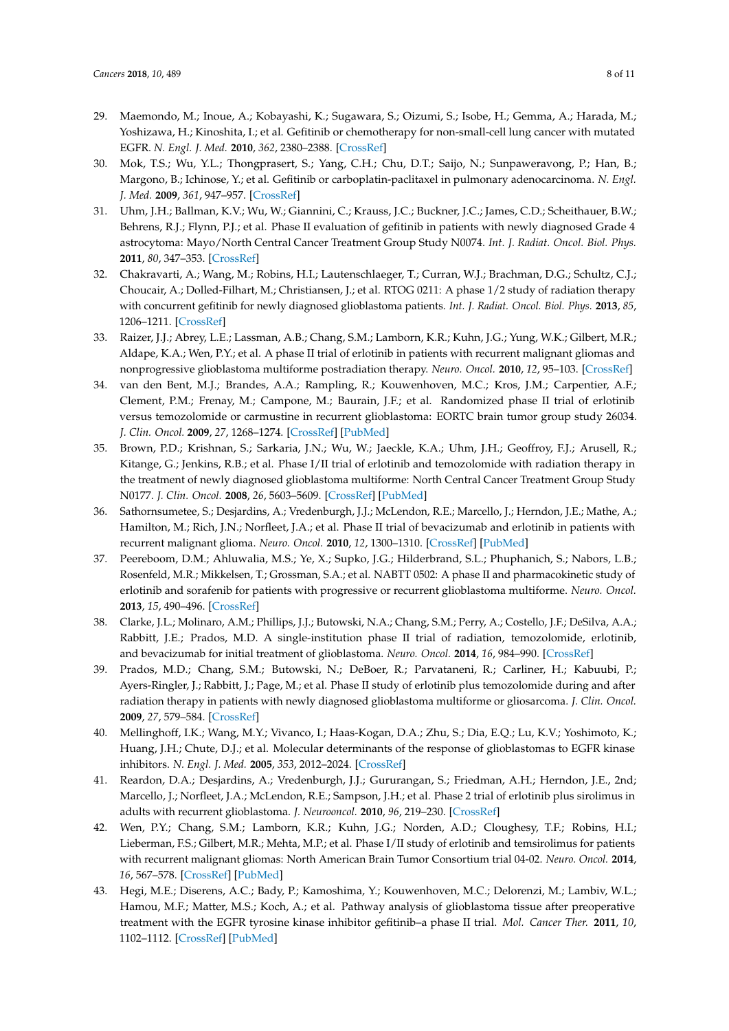- <span id="page-7-0"></span>29. Maemondo, M.; Inoue, A.; Kobayashi, K.; Sugawara, S.; Oizumi, S.; Isobe, H.; Gemma, A.; Harada, M.; Yoshizawa, H.; Kinoshita, I.; et al. Gefitinib or chemotherapy for non-small-cell lung cancer with mutated EGFR. *N. Engl. J. Med.* **2010**, *362*, 2380–2388. [\[CrossRef\]](http://dx.doi.org/10.1056/NEJMoa0909530)
- <span id="page-7-1"></span>30. Mok, T.S.; Wu, Y.L.; Thongprasert, S.; Yang, C.H.; Chu, D.T.; Saijo, N.; Sunpaweravong, P.; Han, B.; Margono, B.; Ichinose, Y.; et al. Gefitinib or carboplatin-paclitaxel in pulmonary adenocarcinoma. *N. Engl. J. Med.* **2009**, *361*, 947–957. [\[CrossRef\]](http://dx.doi.org/10.1056/NEJMoa0810699)
- <span id="page-7-2"></span>31. Uhm, J.H.; Ballman, K.V.; Wu, W.; Giannini, C.; Krauss, J.C.; Buckner, J.C.; James, C.D.; Scheithauer, B.W.; Behrens, R.J.; Flynn, P.J.; et al. Phase II evaluation of gefitinib in patients with newly diagnosed Grade 4 astrocytoma: Mayo/North Central Cancer Treatment Group Study N0074. *Int. J. Radiat. Oncol. Biol. Phys.* **2011**, *80*, 347–353. [\[CrossRef\]](http://dx.doi.org/10.1016/j.ijrobp.2010.01.070)
- <span id="page-7-3"></span>32. Chakravarti, A.; Wang, M.; Robins, H.I.; Lautenschlaeger, T.; Curran, W.J.; Brachman, D.G.; Schultz, C.J.; Choucair, A.; Dolled-Filhart, M.; Christiansen, J.; et al. RTOG 0211: A phase 1/2 study of radiation therapy with concurrent gefitinib for newly diagnosed glioblastoma patients. *Int. J. Radiat. Oncol. Biol. Phys.* **2013**, *85*, 1206–1211. [\[CrossRef\]](http://dx.doi.org/10.1016/j.ijrobp.2012.10.008)
- <span id="page-7-4"></span>33. Raizer, J.J.; Abrey, L.E.; Lassman, A.B.; Chang, S.M.; Lamborn, K.R.; Kuhn, J.G.; Yung, W.K.; Gilbert, M.R.; Aldape, K.A.; Wen, P.Y.; et al. A phase II trial of erlotinib in patients with recurrent malignant gliomas and nonprogressive glioblastoma multiforme postradiation therapy. *Neuro. Oncol.* **2010**, *12*, 95–103. [\[CrossRef\]](http://dx.doi.org/10.1093/neuonc/nop015)
- <span id="page-7-5"></span>34. van den Bent, M.J.; Brandes, A.A.; Rampling, R.; Kouwenhoven, M.C.; Kros, J.M.; Carpentier, A.F.; Clement, P.M.; Frenay, M.; Campone, M.; Baurain, J.F.; et al. Randomized phase II trial of erlotinib versus temozolomide or carmustine in recurrent glioblastoma: EORTC brain tumor group study 26034. *J. Clin. Oncol.* **2009**, *27*, 1268–1274. [\[CrossRef\]](http://dx.doi.org/10.1200/JCO.2008.17.5984) [\[PubMed\]](http://www.ncbi.nlm.nih.gov/pubmed/19204207)
- <span id="page-7-6"></span>35. Brown, P.D.; Krishnan, S.; Sarkaria, J.N.; Wu, W.; Jaeckle, K.A.; Uhm, J.H.; Geoffroy, F.J.; Arusell, R.; Kitange, G.; Jenkins, R.B.; et al. Phase I/II trial of erlotinib and temozolomide with radiation therapy in the treatment of newly diagnosed glioblastoma multiforme: North Central Cancer Treatment Group Study N0177. *J. Clin. Oncol.* **2008**, *26*, 5603–5609. [\[CrossRef\]](http://dx.doi.org/10.1200/JCO.2008.18.0612) [\[PubMed\]](http://www.ncbi.nlm.nih.gov/pubmed/18955445)
- <span id="page-7-7"></span>36. Sathornsumetee, S.; Desjardins, A.; Vredenburgh, J.J.; McLendon, R.E.; Marcello, J.; Herndon, J.E.; Mathe, A.; Hamilton, M.; Rich, J.N.; Norfleet, J.A.; et al. Phase II trial of bevacizumab and erlotinib in patients with recurrent malignant glioma. *Neuro. Oncol.* **2010**, *12*, 1300–1310. [\[CrossRef\]](http://dx.doi.org/10.1093/neuonc/noq099) [\[PubMed\]](http://www.ncbi.nlm.nih.gov/pubmed/20716591)
- <span id="page-7-8"></span>37. Peereboom, D.M.; Ahluwalia, M.S.; Ye, X.; Supko, J.G.; Hilderbrand, S.L.; Phuphanich, S.; Nabors, L.B.; Rosenfeld, M.R.; Mikkelsen, T.; Grossman, S.A.; et al. NABTT 0502: A phase II and pharmacokinetic study of erlotinib and sorafenib for patients with progressive or recurrent glioblastoma multiforme. *Neuro. Oncol.* **2013**, *15*, 490–496. [\[CrossRef\]](http://dx.doi.org/10.1093/neuonc/nos322)
- <span id="page-7-9"></span>38. Clarke, J.L.; Molinaro, A.M.; Phillips, J.J.; Butowski, N.A.; Chang, S.M.; Perry, A.; Costello, J.F.; DeSilva, A.A.; Rabbitt, J.E.; Prados, M.D. A single-institution phase II trial of radiation, temozolomide, erlotinib, and bevacizumab for initial treatment of glioblastoma. *Neuro. Oncol.* **2014**, *16*, 984–990. [\[CrossRef\]](http://dx.doi.org/10.1093/neuonc/nou029)
- <span id="page-7-10"></span>39. Prados, M.D.; Chang, S.M.; Butowski, N.; DeBoer, R.; Parvataneni, R.; Carliner, H.; Kabuubi, P.; Ayers-Ringler, J.; Rabbitt, J.; Page, M.; et al. Phase II study of erlotinib plus temozolomide during and after radiation therapy in patients with newly diagnosed glioblastoma multiforme or gliosarcoma. *J. Clin. Oncol.* **2009**, *27*, 579–584. [\[CrossRef\]](http://dx.doi.org/10.1200/JCO.2008.18.9639)
- <span id="page-7-11"></span>40. Mellinghoff, I.K.; Wang, M.Y.; Vivanco, I.; Haas-Kogan, D.A.; Zhu, S.; Dia, E.Q.; Lu, K.V.; Yoshimoto, K.; Huang, J.H.; Chute, D.J.; et al. Molecular determinants of the response of glioblastomas to EGFR kinase inhibitors. *N. Engl. J. Med.* **2005**, *353*, 2012–2024. [\[CrossRef\]](http://dx.doi.org/10.1056/NEJMoa051918)
- <span id="page-7-12"></span>41. Reardon, D.A.; Desjardins, A.; Vredenburgh, J.J.; Gururangan, S.; Friedman, A.H.; Herndon, J.E., 2nd; Marcello, J.; Norfleet, J.A.; McLendon, R.E.; Sampson, J.H.; et al. Phase 2 trial of erlotinib plus sirolimus in adults with recurrent glioblastoma. *J. Neurooncol.* **2010**, *96*, 219–230. [\[CrossRef\]](http://dx.doi.org/10.1007/s11060-009-9950-0)
- <span id="page-7-13"></span>42. Wen, P.Y.; Chang, S.M.; Lamborn, K.R.; Kuhn, J.G.; Norden, A.D.; Cloughesy, T.F.; Robins, H.I.; Lieberman, F.S.; Gilbert, M.R.; Mehta, M.P.; et al. Phase I/II study of erlotinib and temsirolimus for patients with recurrent malignant gliomas: North American Brain Tumor Consortium trial 04-02. *Neuro. Oncol.* **2014**, *16*, 567–578. [\[CrossRef\]](http://dx.doi.org/10.1093/neuonc/not247) [\[PubMed\]](http://www.ncbi.nlm.nih.gov/pubmed/24470557)
- <span id="page-7-14"></span>43. Hegi, M.E.; Diserens, A.C.; Bady, P.; Kamoshima, Y.; Kouwenhoven, M.C.; Delorenzi, M.; Lambiv, W.L.; Hamou, M.F.; Matter, M.S.; Koch, A.; et al. Pathway analysis of glioblastoma tissue after preoperative treatment with the EGFR tyrosine kinase inhibitor gefitinib–a phase II trial. *Mol. Cancer Ther.* **2011**, *10*, 1102–1112. [\[CrossRef\]](http://dx.doi.org/10.1158/1535-7163.MCT-11-0048) [\[PubMed\]](http://www.ncbi.nlm.nih.gov/pubmed/21471286)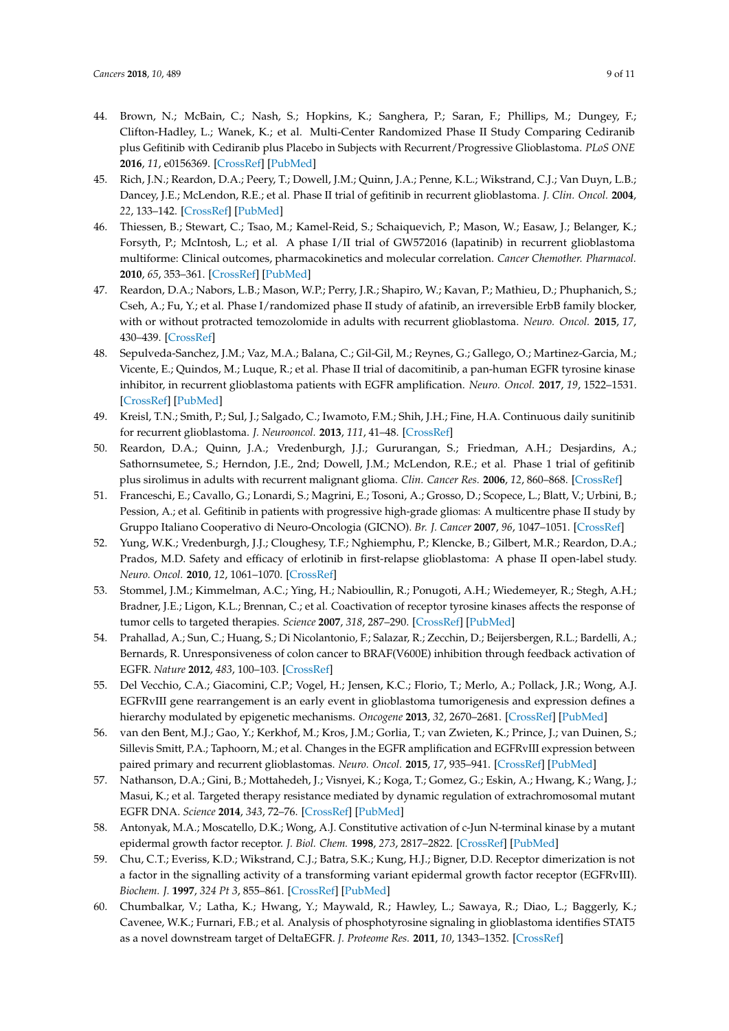- <span id="page-8-0"></span>44. Brown, N.; McBain, C.; Nash, S.; Hopkins, K.; Sanghera, P.; Saran, F.; Phillips, M.; Dungey, F.; Clifton-Hadley, L.; Wanek, K.; et al. Multi-Center Randomized Phase II Study Comparing Cediranib plus Gefitinib with Cediranib plus Placebo in Subjects with Recurrent/Progressive Glioblastoma. *PLoS ONE* **2016**, *11*, e0156369. [\[CrossRef\]](http://dx.doi.org/10.1371/journal.pone.0156369) [\[PubMed\]](http://www.ncbi.nlm.nih.gov/pubmed/27232884)
- <span id="page-8-1"></span>45. Rich, J.N.; Reardon, D.A.; Peery, T.; Dowell, J.M.; Quinn, J.A.; Penne, K.L.; Wikstrand, C.J.; Van Duyn, L.B.; Dancey, J.E.; McLendon, R.E.; et al. Phase II trial of gefitinib in recurrent glioblastoma. *J. Clin. Oncol.* **2004**, *22*, 133–142. [\[CrossRef\]](http://dx.doi.org/10.1200/JCO.2004.08.110) [\[PubMed\]](http://www.ncbi.nlm.nih.gov/pubmed/14638850)
- <span id="page-8-2"></span>46. Thiessen, B.; Stewart, C.; Tsao, M.; Kamel-Reid, S.; Schaiquevich, P.; Mason, W.; Easaw, J.; Belanger, K.; Forsyth, P.; McIntosh, L.; et al. A phase I/II trial of GW572016 (lapatinib) in recurrent glioblastoma multiforme: Clinical outcomes, pharmacokinetics and molecular correlation. *Cancer Chemother. Pharmacol.* **2010**, *65*, 353–361. [\[CrossRef\]](http://dx.doi.org/10.1007/s00280-009-1041-6) [\[PubMed\]](http://www.ncbi.nlm.nih.gov/pubmed/19499221)
- <span id="page-8-3"></span>47. Reardon, D.A.; Nabors, L.B.; Mason, W.P.; Perry, J.R.; Shapiro, W.; Kavan, P.; Mathieu, D.; Phuphanich, S.; Cseh, A.; Fu, Y.; et al. Phase I/randomized phase II study of afatinib, an irreversible ErbB family blocker, with or without protracted temozolomide in adults with recurrent glioblastoma. *Neuro. Oncol.* **2015**, *17*, 430–439. [\[CrossRef\]](http://dx.doi.org/10.1093/neuonc/nou160)
- <span id="page-8-4"></span>48. Sepulveda-Sanchez, J.M.; Vaz, M.A.; Balana, C.; Gil-Gil, M.; Reynes, G.; Gallego, O.; Martinez-Garcia, M.; Vicente, E.; Quindos, M.; Luque, R.; et al. Phase II trial of dacomitinib, a pan-human EGFR tyrosine kinase inhibitor, in recurrent glioblastoma patients with EGFR amplification. *Neuro. Oncol.* **2017**, *19*, 1522–1531. [\[CrossRef\]](http://dx.doi.org/10.1093/neuonc/nox105) [\[PubMed\]](http://www.ncbi.nlm.nih.gov/pubmed/28575464)
- <span id="page-8-5"></span>49. Kreisl, T.N.; Smith, P.; Sul, J.; Salgado, C.; Iwamoto, F.M.; Shih, J.H.; Fine, H.A. Continuous daily sunitinib for recurrent glioblastoma. *J. Neurooncol.* **2013**, *111*, 41–48. [\[CrossRef\]](http://dx.doi.org/10.1007/s11060-012-0988-z)
- <span id="page-8-6"></span>50. Reardon, D.A.; Quinn, J.A.; Vredenburgh, J.J.; Gururangan, S.; Friedman, A.H.; Desjardins, A.; Sathornsumetee, S.; Herndon, J.E., 2nd; Dowell, J.M.; McLendon, R.E.; et al. Phase 1 trial of gefitinib plus sirolimus in adults with recurrent malignant glioma. *Clin. Cancer Res.* **2006**, *12*, 860–868. [\[CrossRef\]](http://dx.doi.org/10.1158/1078-0432.CCR-05-2215)
- <span id="page-8-7"></span>51. Franceschi, E.; Cavallo, G.; Lonardi, S.; Magrini, E.; Tosoni, A.; Grosso, D.; Scopece, L.; Blatt, V.; Urbini, B.; Pession, A.; et al. Gefitinib in patients with progressive high-grade gliomas: A multicentre phase II study by Gruppo Italiano Cooperativo di Neuro-Oncologia (GICNO). *Br. J. Cancer* **2007**, *96*, 1047–1051. [\[CrossRef\]](http://dx.doi.org/10.1038/sj.bjc.6603669)
- <span id="page-8-8"></span>52. Yung, W.K.; Vredenburgh, J.J.; Cloughesy, T.F.; Nghiemphu, P.; Klencke, B.; Gilbert, M.R.; Reardon, D.A.; Prados, M.D. Safety and efficacy of erlotinib in first-relapse glioblastoma: A phase II open-label study. *Neuro. Oncol.* **2010**, *12*, 1061–1070. [\[CrossRef\]](http://dx.doi.org/10.1093/neuonc/noq072)
- <span id="page-8-9"></span>53. Stommel, J.M.; Kimmelman, A.C.; Ying, H.; Nabioullin, R.; Ponugoti, A.H.; Wiedemeyer, R.; Stegh, A.H.; Bradner, J.E.; Ligon, K.L.; Brennan, C.; et al. Coactivation of receptor tyrosine kinases affects the response of tumor cells to targeted therapies. *Science* **2007**, *318*, 287–290. [\[CrossRef\]](http://dx.doi.org/10.1126/science.1142946) [\[PubMed\]](http://www.ncbi.nlm.nih.gov/pubmed/17872411)
- <span id="page-8-10"></span>54. Prahallad, A.; Sun, C.; Huang, S.; Di Nicolantonio, F.; Salazar, R.; Zecchin, D.; Beijersbergen, R.L.; Bardelli, A.; Bernards, R. Unresponsiveness of colon cancer to BRAF(V600E) inhibition through feedback activation of EGFR. *Nature* **2012**, *483*, 100–103. [\[CrossRef\]](http://dx.doi.org/10.1038/nature10868)
- <span id="page-8-11"></span>55. Del Vecchio, C.A.; Giacomini, C.P.; Vogel, H.; Jensen, K.C.; Florio, T.; Merlo, A.; Pollack, J.R.; Wong, A.J. EGFRvIII gene rearrangement is an early event in glioblastoma tumorigenesis and expression defines a hierarchy modulated by epigenetic mechanisms. *Oncogene* **2013**, *32*, 2670–2681. [\[CrossRef\]](http://dx.doi.org/10.1038/onc.2012.280) [\[PubMed\]](http://www.ncbi.nlm.nih.gov/pubmed/22797070)
- 56. van den Bent, M.J.; Gao, Y.; Kerkhof, M.; Kros, J.M.; Gorlia, T.; van Zwieten, K.; Prince, J.; van Duinen, S.; Sillevis Smitt, P.A.; Taphoorn, M.; et al. Changes in the EGFR amplification and EGFRvIII expression between paired primary and recurrent glioblastomas. *Neuro. Oncol.* **2015**, *17*, 935–941. [\[CrossRef\]](http://dx.doi.org/10.1093/neuonc/nov013) [\[PubMed\]](http://www.ncbi.nlm.nih.gov/pubmed/25691693)
- <span id="page-8-12"></span>57. Nathanson, D.A.; Gini, B.; Mottahedeh, J.; Visnyei, K.; Koga, T.; Gomez, G.; Eskin, A.; Hwang, K.; Wang, J.; Masui, K.; et al. Targeted therapy resistance mediated by dynamic regulation of extrachromosomal mutant EGFR DNA. *Science* **2014**, *343*, 72–76. [\[CrossRef\]](http://dx.doi.org/10.1126/science.1241328) [\[PubMed\]](http://www.ncbi.nlm.nih.gov/pubmed/24310612)
- <span id="page-8-13"></span>58. Antonyak, M.A.; Moscatello, D.K.; Wong, A.J. Constitutive activation of c-Jun N-terminal kinase by a mutant epidermal growth factor receptor. *J. Biol. Chem.* **1998**, *273*, 2817–2822. [\[CrossRef\]](http://dx.doi.org/10.1074/jbc.273.5.2817) [\[PubMed\]](http://www.ncbi.nlm.nih.gov/pubmed/9446590)
- 59. Chu, C.T.; Everiss, K.D.; Wikstrand, C.J.; Batra, S.K.; Kung, H.J.; Bigner, D.D. Receptor dimerization is not a factor in the signalling activity of a transforming variant epidermal growth factor receptor (EGFRvIII). *Biochem. J.* **1997**, *324 Pt 3*, 855–861. [\[CrossRef\]](http://dx.doi.org/10.1042/bj3240855) [\[PubMed\]](http://www.ncbi.nlm.nih.gov/pubmed/9210410)
- 60. Chumbalkar, V.; Latha, K.; Hwang, Y.; Maywald, R.; Hawley, L.; Sawaya, R.; Diao, L.; Baggerly, K.; Cavenee, W.K.; Furnari, F.B.; et al. Analysis of phosphotyrosine signaling in glioblastoma identifies STAT5 as a novel downstream target of DeltaEGFR. *J. Proteome Res.* **2011**, *10*, 1343–1352. [\[CrossRef\]](http://dx.doi.org/10.1021/pr101075e)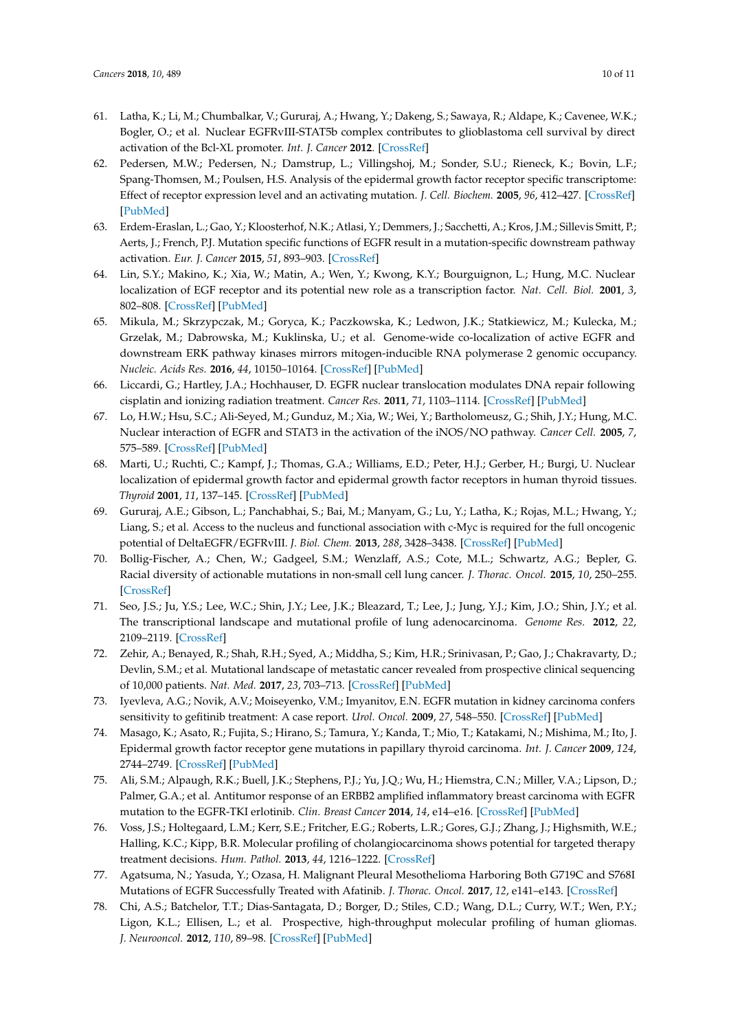- 61. Latha, K.; Li, M.; Chumbalkar, V.; Gururaj, A.; Hwang, Y.; Dakeng, S.; Sawaya, R.; Aldape, K.; Cavenee, W.K.; Bogler, O.; et al. Nuclear EGFRvIII-STAT5b complex contributes to glioblastoma cell survival by direct activation of the Bcl-XL promoter. *Int. J. Cancer* **2012**. [\[CrossRef\]](http://dx.doi.org/10.1002/ijc.27690)
- <span id="page-9-0"></span>62. Pedersen, M.W.; Pedersen, N.; Damstrup, L.; Villingshoj, M.; Sonder, S.U.; Rieneck, K.; Bovin, L.F.; Spang-Thomsen, M.; Poulsen, H.S. Analysis of the epidermal growth factor receptor specific transcriptome: Effect of receptor expression level and an activating mutation. *J. Cell. Biochem.* **2005**, *96*, 412–427. [\[CrossRef\]](http://dx.doi.org/10.1002/jcb.20554) [\[PubMed\]](http://www.ncbi.nlm.nih.gov/pubmed/16075456)
- <span id="page-9-1"></span>63. Erdem-Eraslan, L.; Gao, Y.; Kloosterhof, N.K.; Atlasi, Y.; Demmers, J.; Sacchetti, A.; Kros, J.M.; Sillevis Smitt, P.; Aerts, J.; French, P.J. Mutation specific functions of EGFR result in a mutation-specific downstream pathway activation. *Eur. J. Cancer* **2015**, *51*, 893–903. [\[CrossRef\]](http://dx.doi.org/10.1016/j.ejca.2015.02.006)
- <span id="page-9-2"></span>64. Lin, S.Y.; Makino, K.; Xia, W.; Matin, A.; Wen, Y.; Kwong, K.Y.; Bourguignon, L.; Hung, M.C. Nuclear localization of EGF receptor and its potential new role as a transcription factor. *Nat. Cell. Biol.* **2001**, *3*, 802–808. [\[CrossRef\]](http://dx.doi.org/10.1038/ncb0901-802) [\[PubMed\]](http://www.ncbi.nlm.nih.gov/pubmed/11533659)
- <span id="page-9-3"></span>65. Mikula, M.; Skrzypczak, M.; Goryca, K.; Paczkowska, K.; Ledwon, J.K.; Statkiewicz, M.; Kulecka, M.; Grzelak, M.; Dabrowska, M.; Kuklinska, U.; et al. Genome-wide co-localization of active EGFR and downstream ERK pathway kinases mirrors mitogen-inducible RNA polymerase 2 genomic occupancy. *Nucleic. Acids Res.* **2016**, *44*, 10150–10164. [\[CrossRef\]](http://dx.doi.org/10.1093/nar/gkw763) [\[PubMed\]](http://www.ncbi.nlm.nih.gov/pubmed/27587583)
- <span id="page-9-4"></span>66. Liccardi, G.; Hartley, J.A.; Hochhauser, D. EGFR nuclear translocation modulates DNA repair following cisplatin and ionizing radiation treatment. *Cancer Res.* **2011**, *71*, 1103–1114. [\[CrossRef\]](http://dx.doi.org/10.1158/0008-5472.CAN-10-2384) [\[PubMed\]](http://www.ncbi.nlm.nih.gov/pubmed/21266349)
- 67. Lo, H.W.; Hsu, S.C.; Ali-Seyed, M.; Gunduz, M.; Xia, W.; Wei, Y.; Bartholomeusz, G.; Shih, J.Y.; Hung, M.C. Nuclear interaction of EGFR and STAT3 in the activation of the iNOS/NO pathway. *Cancer Cell.* **2005**, *7*, 575–589. [\[CrossRef\]](http://dx.doi.org/10.1016/j.ccr.2005.05.007) [\[PubMed\]](http://www.ncbi.nlm.nih.gov/pubmed/15950906)
- <span id="page-9-5"></span>68. Marti, U.; Ruchti, C.; Kampf, J.; Thomas, G.A.; Williams, E.D.; Peter, H.J.; Gerber, H.; Burgi, U. Nuclear localization of epidermal growth factor and epidermal growth factor receptors in human thyroid tissues. *Thyroid* **2001**, *11*, 137–145. [\[CrossRef\]](http://dx.doi.org/10.1089/105072501300042785) [\[PubMed\]](http://www.ncbi.nlm.nih.gov/pubmed/11288982)
- <span id="page-9-6"></span>69. Gururaj, A.E.; Gibson, L.; Panchabhai, S.; Bai, M.; Manyam, G.; Lu, Y.; Latha, K.; Rojas, M.L.; Hwang, Y.; Liang, S.; et al. Access to the nucleus and functional association with c-Myc is required for the full oncogenic potential of DeltaEGFR/EGFRvIII. *J. Biol. Chem.* **2013**, *288*, 3428–3438. [\[CrossRef\]](http://dx.doi.org/10.1074/jbc.M112.399352) [\[PubMed\]](http://www.ncbi.nlm.nih.gov/pubmed/23250739)
- <span id="page-9-7"></span>70. Bollig-Fischer, A.; Chen, W.; Gadgeel, S.M.; Wenzlaff, A.S.; Cote, M.L.; Schwartz, A.G.; Bepler, G. Racial diversity of actionable mutations in non-small cell lung cancer. *J. Thorac. Oncol.* **2015**, *10*, 250–255. [\[CrossRef\]](http://dx.doi.org/10.1097/JTO.0000000000000420)
- 71. Seo, J.S.; Ju, Y.S.; Lee, W.C.; Shin, J.Y.; Lee, J.K.; Bleazard, T.; Lee, J.; Jung, Y.J.; Kim, J.O.; Shin, J.Y.; et al. The transcriptional landscape and mutational profile of lung adenocarcinoma. *Genome Res.* **2012**, *22*, 2109–2119. [\[CrossRef\]](http://dx.doi.org/10.1101/gr.145144.112)
- <span id="page-9-8"></span>72. Zehir, A.; Benayed, R.; Shah, R.H.; Syed, A.; Middha, S.; Kim, H.R.; Srinivasan, P.; Gao, J.; Chakravarty, D.; Devlin, S.M.; et al. Mutational landscape of metastatic cancer revealed from prospective clinical sequencing of 10,000 patients. *Nat. Med.* **2017**, *23*, 703–713. [\[CrossRef\]](http://dx.doi.org/10.1038/nm.4333) [\[PubMed\]](http://www.ncbi.nlm.nih.gov/pubmed/28481359)
- <span id="page-9-9"></span>73. Iyevleva, A.G.; Novik, A.V.; Moiseyenko, V.M.; Imyanitov, E.N. EGFR mutation in kidney carcinoma confers sensitivity to gefitinib treatment: A case report. *Urol. Oncol.* **2009**, *27*, 548–550. [\[CrossRef\]](http://dx.doi.org/10.1016/j.urolonc.2008.03.022) [\[PubMed\]](http://www.ncbi.nlm.nih.gov/pubmed/18625569)
- 74. Masago, K.; Asato, R.; Fujita, S.; Hirano, S.; Tamura, Y.; Kanda, T.; Mio, T.; Katakami, N.; Mishima, M.; Ito, J. Epidermal growth factor receptor gene mutations in papillary thyroid carcinoma. *Int. J. Cancer* **2009**, *124*, 2744–2749. [\[CrossRef\]](http://dx.doi.org/10.1002/ijc.24250) [\[PubMed\]](http://www.ncbi.nlm.nih.gov/pubmed/19253367)
- <span id="page-9-10"></span>75. Ali, S.M.; Alpaugh, R.K.; Buell, J.K.; Stephens, P.J.; Yu, J.Q.; Wu, H.; Hiemstra, C.N.; Miller, V.A.; Lipson, D.; Palmer, G.A.; et al. Antitumor response of an ERBB2 amplified inflammatory breast carcinoma with EGFR mutation to the EGFR-TKI erlotinib. *Clin. Breast Cancer* **2014**, *14*, e14–e16. [\[CrossRef\]](http://dx.doi.org/10.1016/j.clbc.2013.09.010) [\[PubMed\]](http://www.ncbi.nlm.nih.gov/pubmed/24201163)
- <span id="page-9-11"></span>76. Voss, J.S.; Holtegaard, L.M.; Kerr, S.E.; Fritcher, E.G.; Roberts, L.R.; Gores, G.J.; Zhang, J.; Highsmith, W.E.; Halling, K.C.; Kipp, B.R. Molecular profiling of cholangiocarcinoma shows potential for targeted therapy treatment decisions. *Hum. Pathol.* **2013**, *44*, 1216–1222. [\[CrossRef\]](http://dx.doi.org/10.1016/j.humpath.2012.11.006)
- <span id="page-9-12"></span>77. Agatsuma, N.; Yasuda, Y.; Ozasa, H. Malignant Pleural Mesothelioma Harboring Both G719C and S768I Mutations of EGFR Successfully Treated with Afatinib. *J. Thorac. Oncol.* **2017**, *12*, e141–e143. [\[CrossRef\]](http://dx.doi.org/10.1016/j.jtho.2017.04.028)
- <span id="page-9-13"></span>78. Chi, A.S.; Batchelor, T.T.; Dias-Santagata, D.; Borger, D.; Stiles, C.D.; Wang, D.L.; Curry, W.T.; Wen, P.Y.; Ligon, K.L.; Ellisen, L.; et al. Prospective, high-throughput molecular profiling of human gliomas. *J. Neurooncol.* **2012**, *110*, 89–98. [\[CrossRef\]](http://dx.doi.org/10.1007/s11060-012-0938-9) [\[PubMed\]](http://www.ncbi.nlm.nih.gov/pubmed/22821383)